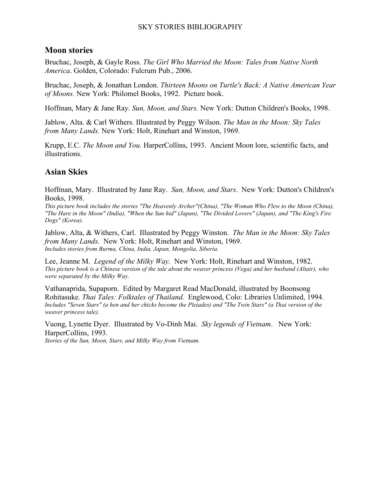#### SKY STORIES BIBLIOGRAPHY

## **Moon stories**

Bruchac, Joseph, & Gayle Ross. *The Girl Who Married the Moon: Tales from Native North America*. Golden, Colorado: Fulcrum Pub., 2006.

Bruchac, Joseph, & Jonathan London. *Thirteen Moons on Turtle's Back: A Native American Year of Moons.* New York: Philomel Books, 1992. Picture book.

Hoffman, Mary & Jane Ray. *Sun, Moon, and Stars.* New York: Dutton Children's Books, 1998.

Jablow, Alta. & Carl Withers. Illustrated by Peggy Wilson. *The Man in the Moon: Sky Tales from Many Lands.* New York: Holt, Rinehart and Winston, 1969.

Krupp, E.C. *The Moon and You.* HarperCollins, 1993. Ancient Moon lore, scientific facts, and illustrations.

# **Asian Skies**

Hoffman, Mary. Illustrated by Jane Ray. *Sun, Moon, and Stars*. New York: Dutton's Children's Books, 1998.

*This picture book includes the stories "The Heavenly Archer"(China), "The Woman Who Flew to the Moon (China), "The Hare in the Moon" (India), "When the Sun hid" (Japan), "The Divided Lovers" (Japan), and "The King's Fire Dogs" (Korea).*

Jablow, Alta, & Withers, Carl. Illustrated by Peggy Winston. *The Man in the Moon: Sky Tales from Many Lands*. New York: Holt, Rinehart and Winston, 1969. *Includes stories from Burma, China, India, Japan, Mongolia, Siberia.* 

Lee, Jeanne M. *Legend of the Milky Way.* New York: Holt, Rinehart and Winston, 1982. *This picture book is a Chinese version of the tale about the weaver princess (Vega) and her husband (Altair), who were separated by the Milky Way.*

Vathanaprida, Supaporn. Edited by Margaret Read MacDonald, illustrated by Boonsong Rohitasuke. *Thai Tales: Folktales of Thailand.* Englewood, Colo: Libraries Unlimited, 1994. *Includes "Seven Stars" (a hen and her chicks become the Pleiades) and "The Twin Stars" (a Thai version of the weaver princess tale).*

Vuong, Lynette Dyer. Illustrated by Vo-Dinh Mai. *Sky legends of Vietnam*.New York: HarperCollins, 1993.

*Stories of the Sun, Moon, Stars, and Milky Way from Vietnam.*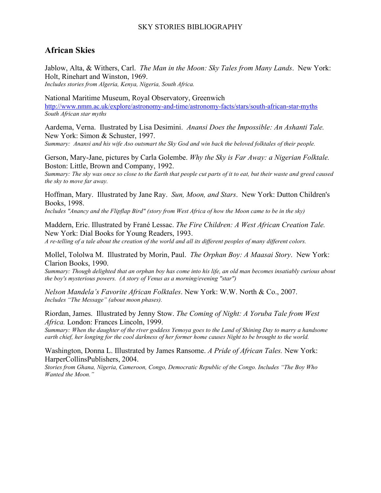#### SKY STORIES BIBLIOGRAPHY

## **African Skies**

Jablow, Alta, & Withers, Carl. *The Man in the Moon: Sky Tales from Many Lands*. New York: Holt, Rinehart and Winston, 1969.

*Includes stories from Algeria, Kenya, Nigeria, South Africa.* 

National Maritime Museum, Royal Observatory, Greenwich <http://www.nmm.ac.uk/explore/astronomy-and-time/astronomy-facts/stars/south-african-star-myths> *South African star myths*

Aardema, Verna. Ilustrated by Lisa Desimini. *Anansi Does the Impossible: An Ashanti Tale.* New York: Simon & Schuster, 1997.

*Summary: Anansi and his wife Aso outsmart the Sky God and win back the beloved folktales of their people.* 

Gerson, Mary-Jane, pictures by Carla Golembe. *Why the Sky is Far Away: a Nigerian Folktale.*  Boston: Little, Brown and Company, 1992.

*Summary: The sky was once so close to the Earth that people cut parts of it to eat, but their waste and greed caused the sky to move far away.*

Hoffman, Mary. Illustrated by Jane Ray. *Sun, Moon, and Stars*. New York: Dutton Children's Books, 1998.

*Includes "Anancy and the Flipflap Bird" (story from West Africa of how the Moon came to be in the sky)*

Maddern, Eric. Illustrated by Frané Lessac. *The Fire Children: A West African Creation Tale.*  New York: Dial Books for Young Readers, 1993.

*A re-telling of a tale about the creation of the world and all its different peoples of many different colors.*

Mollel, Tololwa M. Illustrated by Morin, Paul. *The Orphan Boy: A Maasai Story*. New York: Clarion Books, 1990.

*Summary: Though delighted that an orphan boy has come into his life, an old man becomes insatiably curious about the boy's mysterious powers. (A story of Venus as a morning/evening "star")* 

*Nelson Mandela's Favorite African Folktales*. New York: W.W. North & Co., 2007. *Includes "The Message" (about moon phases).*

Riordan, James. Illustrated by Jenny Stow. *The Coming of Night: A Yoruba Tale from West Africa.* London: Frances Lincoln, 1999.

*Summary: When the daughter of the river goddess Yemoya goes to the Land of Shining Day to marry a handsome earth chief, her longing for the cool darkness of her former home causes Night to be brought to the world.*

Washington, Donna L. Illustrated by James Ransome. *A Pride of African Tales.* New York: HarperCollinsPublishers, 2004.

*Stories from Ghana, Nigeria, Cameroon, Congo, Democratic Republic of the Congo. Includes "The Boy Who Wanted the Moon."*